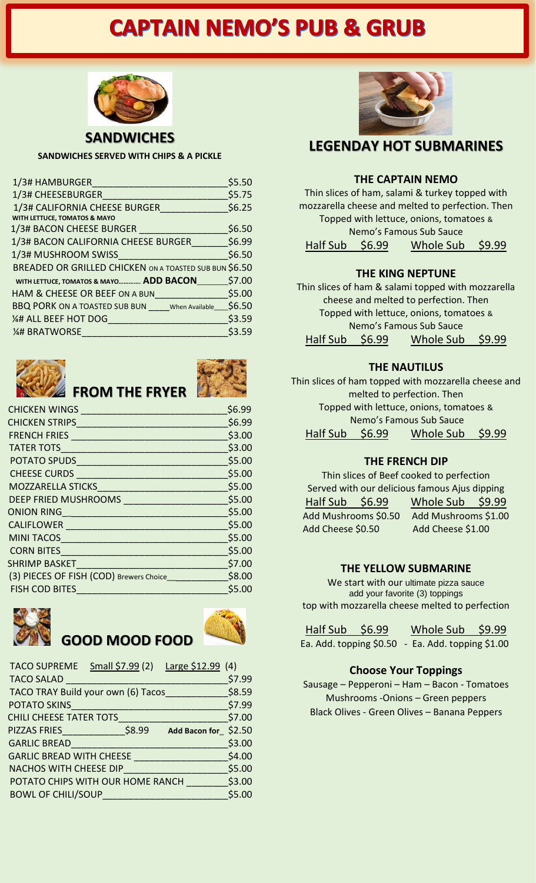# **CAPTAIN NEMO'S PUB & GRUB**



**SANDWICHES**

**SANDWICHES SERVED WITH CHIPS & A PICKLE**

| 1/3# HAMBURGER                                                | \$5.50 |
|---------------------------------------------------------------|--------|
| 1/3# CHEESEBURGER                                             | \$5.75 |
| 1/3# CALIFORNIA CHEESE BURGER<br>WITH LETTUCE, TOMATOS & MAYO | \$6.25 |
| 1/3# BACON CHEESE BURGER                                      | \$6.50 |
| 1/3# BACON CALIFORNIA CHEESE BURGER                           | \$6.99 |
| 1/3# MUSHROOM SWISS                                           | \$6.50 |
| BREADED OR GRILLED CHICKEN ON A TOASTED SUB BUN \$6.50        |        |
| WITH LETTUCE, TOMATOS & MAYO ADD BACON                        | \$7.00 |
| HAM & CHEESE OR BEEF ON A BUN                                 | \$5.00 |
| <b>BBQ PORK ON A TOASTED SUB BUN</b> When Available           | \$6.50 |
| 1/4# ALL BEEF HOT DOG                                         | \$3.59 |
| <b>14# BRATWORSE</b>                                          | \$3.59 |



# **FROM THE FRYER**



| <b>CHICKEN WINGS</b>                    | \$6.99 |
|-----------------------------------------|--------|
| <b>CHICKEN STRIPS</b>                   | \$6.99 |
| <b>FRENCH FRIES</b>                     | \$3.00 |
| <b>TATER TOTS</b>                       | \$3.00 |
| POTATO SPUDS                            | \$5.00 |
| <b>CHEESE CURDS</b>                     | \$5.00 |
| <b>MOZZARELLA STICKS</b>                | \$5.00 |
| DEEP FRIED MUSHROOMS                    | \$5.00 |
| <b>ONION RING</b>                       | \$5.00 |
| <b>CALIFLOWER</b>                       | \$5.00 |
| <b>MINI TACOS</b>                       | \$5.00 |
| <b>CORN BITES</b>                       | \$5.00 |
| <b>SHRIMP BASKET</b>                    | \$7.00 |
| (3) PIECES OF FISH (COD) Brewers Choice | \$8.00 |
| <b>FISH COD BITES</b>                   | \$5.00 |
|                                         |        |





| <b>TACO SUPREME</b>                | Small \$7.99 (2) | Large $$12.99$ (4)   |        |
|------------------------------------|------------------|----------------------|--------|
| <b>TACO SALAD</b>                  |                  |                      | \$7.99 |
| TACO TRAY Build your own (6) Tacos |                  |                      | \$8.59 |
| <b>POTATO SKINS</b>                |                  |                      | \$7.99 |
| <b>CHILI CHEESE TATER TOTS</b>     |                  |                      | \$7.00 |
| <b>PIZZAS FRIES</b>                | \$8.99           | Add Bacon for \$2.50 |        |
| <b>GARLIC BREAD</b>                |                  |                      | \$3.00 |
| <b>GARLIC BREAD WITH CHEESE</b>    |                  |                      | \$4.00 |
| <b>NACHOS WITH CHEESE DIP</b>      |                  |                      | \$5.00 |
| POTATO CHIPS WITH OUR HOME RANCH   |                  |                      | \$3.00 |
| <b>BOWL OF CHILI/SOUP</b>          |                  |                      | \$5.00 |



## **LEGENDAY HOT SUBMARINES**

#### **THE CAPTAIN NEMO**

Thin slices of ham, salami & turkey topped with mozzarella cheese and melted to perfection. Then Topped with lettuce, onions, tomatoes & Nemo's Famous Sub Sauce

Half Sub \$6.99 Whole Sub \$9.99

#### **THE KING NEPTUNE**

Thin slices of ham & salami topped with mozzarella cheese and melted to perfection. Then Topped with lettuce, onions, tomatoes & Nemo's Famous Sub Sauce Half Sub \$6.99 Whole Sub \$9.99

#### **THE NAUTILUS**

Thin slices of ham topped with mozzarella cheese and melted to perfection. Then Topped with lettuce, onions, tomatoes & Nemo's Famous Sub Sauce Half Sub \$6.99 Whole Sub \$9.99

#### **THE FRENCH DIP**

| Thin slices of Beef cooked to perfection      |                      |  |  |
|-----------------------------------------------|----------------------|--|--|
| Served with our delicious famous Ajus dipping |                      |  |  |
| Half Sub \$6.99                               | Whole Sub \$9.99     |  |  |
| Add Mushrooms \$0.50                          | Add Mushrooms \$1.00 |  |  |
| Add Cheese \$0.50                             | Add Cheese \$1.00    |  |  |

#### **THE YELLOW SUBMARINE**

We start with our ultimate pizza sauce add your favorite (3) toppings top with mozzarella cheese melted to perfection

| Half Sub | \$6.99 | Whole Sub \$9.99                                  |  |
|----------|--------|---------------------------------------------------|--|
|          |        | Ea. Add. topping \$0.50 - Ea. Add. topping \$1.00 |  |

#### **Choose Your Toppings**

Sausage – Pepperoni – Ham – Bacon - Tomatoes Mushrooms -Onions – Green peppers Black Olives - Green Olives – Banana Peppers